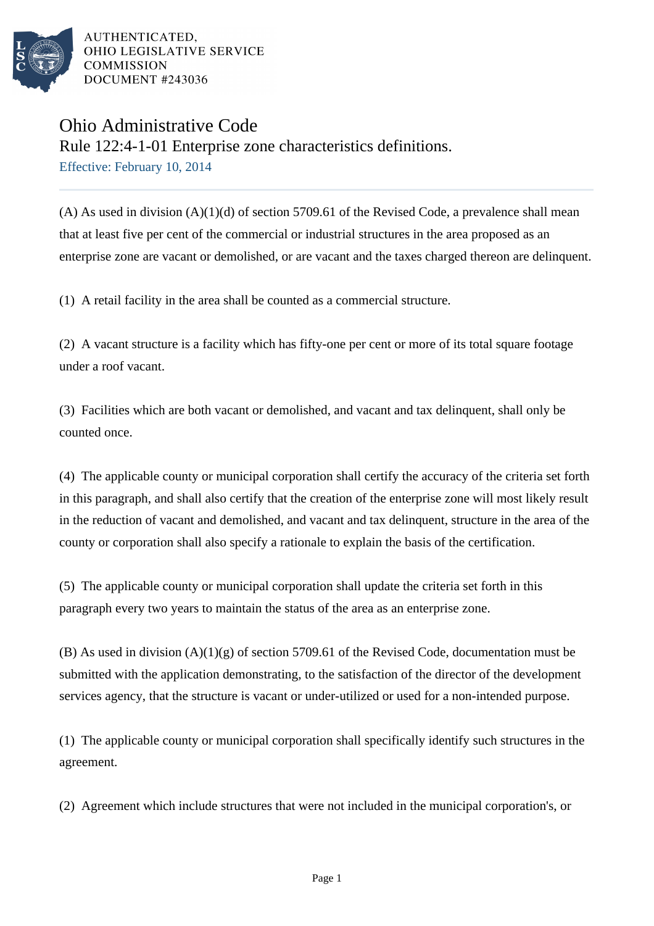

AUTHENTICATED. OHIO LEGISLATIVE SERVICE **COMMISSION DOCUMENT #243036** 

## Ohio Administrative Code

Rule 122:4-1-01 Enterprise zone characteristics definitions. Effective: February 10, 2014

(A) As used in division  $(A)(1)(d)$  of section 5709.61 of the Revised Code, a prevalence shall mean that at least five per cent of the commercial or industrial structures in the area proposed as an enterprise zone are vacant or demolished, or are vacant and the taxes charged thereon are delinquent.

(1) A retail facility in the area shall be counted as a commercial structure.

(2) A vacant structure is a facility which has fifty-one per cent or more of its total square footage under a roof vacant.

(3) Facilities which are both vacant or demolished, and vacant and tax delinquent, shall only be counted once.

(4) The applicable county or municipal corporation shall certify the accuracy of the criteria set forth in this paragraph, and shall also certify that the creation of the enterprise zone will most likely result in the reduction of vacant and demolished, and vacant and tax delinquent, structure in the area of the county or corporation shall also specify a rationale to explain the basis of the certification.

(5) The applicable county or municipal corporation shall update the criteria set forth in this paragraph every two years to maintain the status of the area as an enterprise zone.

(B) As used in division  $(A)(1)(g)$  of section 5709.61 of the Revised Code, documentation must be submitted with the application demonstrating, to the satisfaction of the director of the development services agency, that the structure is vacant or under-utilized or used for a non-intended purpose.

(1) The applicable county or municipal corporation shall specifically identify such structures in the agreement.

(2) Agreement which include structures that were not included in the municipal corporation's, or